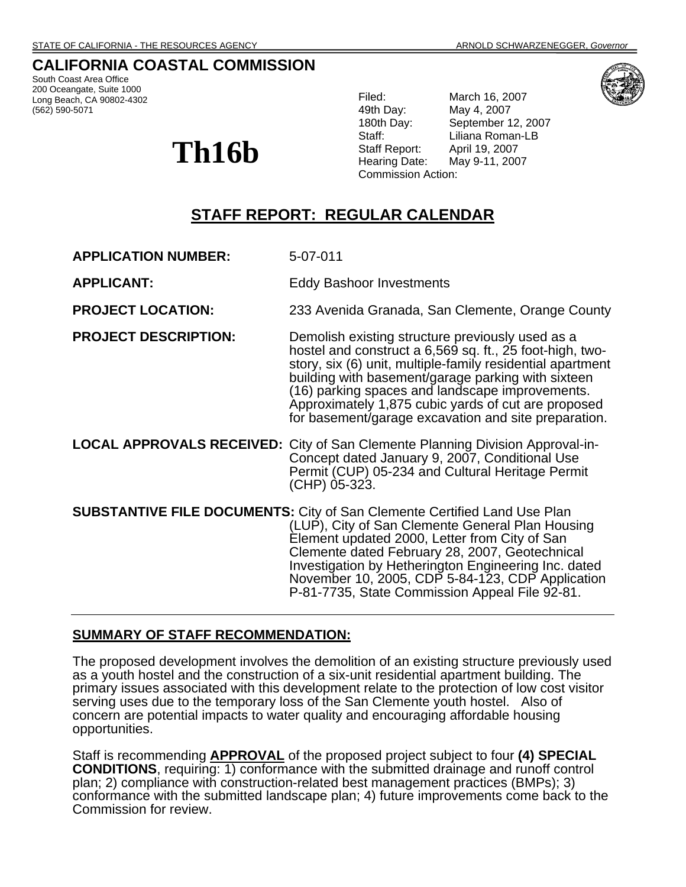## **CALIFORNIA COASTAL COMMISSION**

South Coast Area Office 200 Oceangate, Suite 1000 Long Beach, CA 90802-4302 (562) 590-5071

# **Th16b**

Filed: March 16, 2007 49th Day: May 4, 2007 180th Day: September 12, 2007 Staff: Liliana Roman-LB Staff Report: April 19, 2007 Hearing Date: May 9-11, 2007 Commission Action:

# **STAFF REPORT: REGULAR CALENDAR**

**APPLICATION NUMBER:** 5-07-011

**APPLICANT:** Eddy Bashoor Investments

**PROJECT LOCATION:** 233 Avenida Granada, San Clemente, Orange County

**PROJECT DESCRIPTION:** Demolish existing structure previously used as a hostel and construct a 6,569 sq. ft., 25 foot-high, twostory, six (6) unit, multiple-family residential apartment building with basement/garage parking with sixteen (16) parking spaces and landscape improvements. Approximately 1,875 cubic yards of cut are proposed for basement/garage excavation and site preparation.

**LOCAL APPROVALS RECEIVED:** City of San Clemente Planning Division Approval-in-Concept dated January 9, 2007, Conditional Use Permit (CUP) 05-234 and Cultural Heritage Permit (CHP) 05-323.

**SUBSTANTIVE FILE DOCUMENTS:** City of San Clemente Certified Land Use Plan (LUP), City of San Clemente General Plan Housing Element updated 2000, Letter from City of San Clemente dated February 28, 2007, Geotechnical Investigation by Hetherington Engineering Inc. dated November 10, 2005, CDP 5-84-123, CDP Application P-81-7735, State Commission Appeal File 92-81.

## **SUMMARY OF STAFF RECOMMENDATION:**

The proposed development involves the demolition of an existing structure previously used as a youth hostel and the construction of a six-unit residential apartment building. The primary issues associated with this development relate to the protection of low cost visitor serving uses due to the temporary loss of the San Clemente youth hostel. Also of concern are potential impacts to water quality and encouraging affordable housing opportunities.

Staff is recommending **APPROVAL** of the proposed project subject to four **(4) SPECIAL CONDITIONS**, requiring: 1) conformance with the submitted drainage and runoff control plan; 2) compliance with construction-related best management practices (BMPs); 3) conformance with the submitted landscape plan; 4) future improvements come back to the Commission for review.

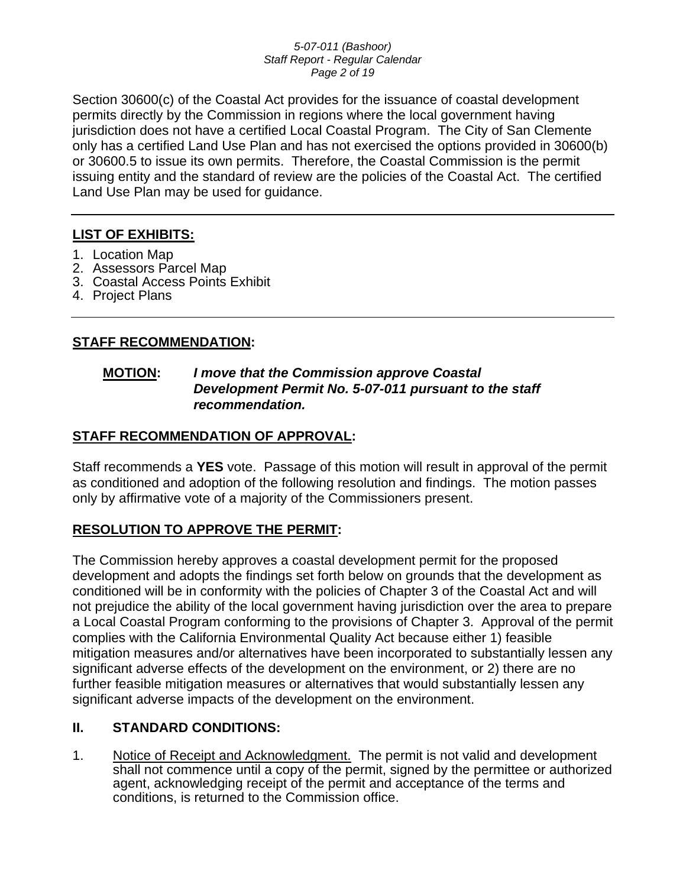#### *5-07-011 (Bashoor) Staff Report - Regular Calendar Page 2 of 19*

Section 30600(c) of the Coastal Act provides for the issuance of coastal development permits directly by the Commission in regions where the local government having jurisdiction does not have a certified Local Coastal Program. The City of San Clemente only has a certified Land Use Plan and has not exercised the options provided in 30600(b) or 30600.5 to issue its own permits. Therefore, the Coastal Commission is the permit issuing entity and the standard of review are the policies of the Coastal Act. The certified Land Use Plan may be used for guidance.

## **LIST OF EXHIBITS:**

- 1. Location Map
- 2. Assessors Parcel Map
- 3. Coastal Access Points Exhibit
- 4. Project Plans

## **STAFF RECOMMENDATION:**

## **MOTION:** *I move that the Commission approve Coastal Development Permit No. 5-07-011 pursuant to the staff recommendation.*

## **STAFF RECOMMENDATION OF APPROVAL:**

Staff recommends a **YES** vote. Passage of this motion will result in approval of the permit as conditioned and adoption of the following resolution and findings. The motion passes only by affirmative vote of a majority of the Commissioners present.

## **RESOLUTION TO APPROVE THE PERMIT:**

The Commission hereby approves a coastal development permit for the proposed development and adopts the findings set forth below on grounds that the development as conditioned will be in conformity with the policies of Chapter 3 of the Coastal Act and will not prejudice the ability of the local government having jurisdiction over the area to prepare a Local Coastal Program conforming to the provisions of Chapter 3. Approval of the permit complies with the California Environmental Quality Act because either 1) feasible mitigation measures and/or alternatives have been incorporated to substantially lessen any significant adverse effects of the development on the environment, or 2) there are no further feasible mitigation measures or alternatives that would substantially lessen any significant adverse impacts of the development on the environment.

## **II. STANDARD CONDITIONS:**

1. Notice of Receipt and Acknowledgment. The permit is not valid and development shall not commence until a copy of the permit, signed by the permittee or authorized agent, acknowledging receipt of the permit and acceptance of the terms and conditions, is returned to the Commission office.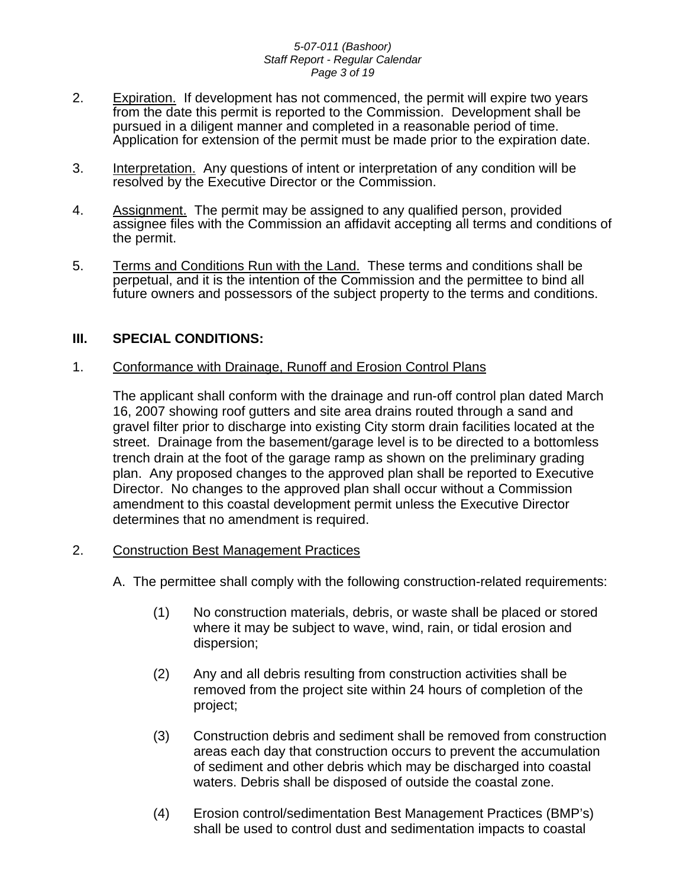#### *5-07-011 (Bashoor) Staff Report - Regular Calendar Page 3 of 19*

- 2. Expiration. If development has not commenced, the permit will expire two years from the date this permit is reported to the Commission. Development shall be pursued in a diligent manner and completed in a reasonable period of time. Application for extension of the permit must be made prior to the expiration date.
- 3. Interpretation. Any questions of intent or interpretation of any condition will be resolved by the Executive Director or the Commission.
- 4. Assignment. The permit may be assigned to any qualified person, provided assignee files with the Commission an affidavit accepting all terms and conditions of the permit.
- 5. Terms and Conditions Run with the Land. These terms and conditions shall be perpetual, and it is the intention of the Commission and the permittee to bind all future owners and possessors of the subject property to the terms and conditions.

## **III. SPECIAL CONDITIONS:**

## 1. Conformance with Drainage, Runoff and Erosion Control Plans

The applicant shall conform with the drainage and run-off control plan dated March 16, 2007 showing roof gutters and site area drains routed through a sand and gravel filter prior to discharge into existing City storm drain facilities located at the street. Drainage from the basement/garage level is to be directed to a bottomless trench drain at the foot of the garage ramp as shown on the preliminary grading plan. Any proposed changes to the approved plan shall be reported to Executive Director. No changes to the approved plan shall occur without a Commission amendment to this coastal development permit unless the Executive Director determines that no amendment is required.

## 2. Construction Best Management Practices

- A. The permittee shall comply with the following construction-related requirements:
	- (1) No construction materials, debris, or waste shall be placed or stored where it may be subject to wave, wind, rain, or tidal erosion and dispersion;
	- (2) Any and all debris resulting from construction activities shall be removed from the project site within 24 hours of completion of the project;
	- (3) Construction debris and sediment shall be removed from construction areas each day that construction occurs to prevent the accumulation of sediment and other debris which may be discharged into coastal waters. Debris shall be disposed of outside the coastal zone.
	- (4) Erosion control/sedimentation Best Management Practices (BMP's) shall be used to control dust and sedimentation impacts to coastal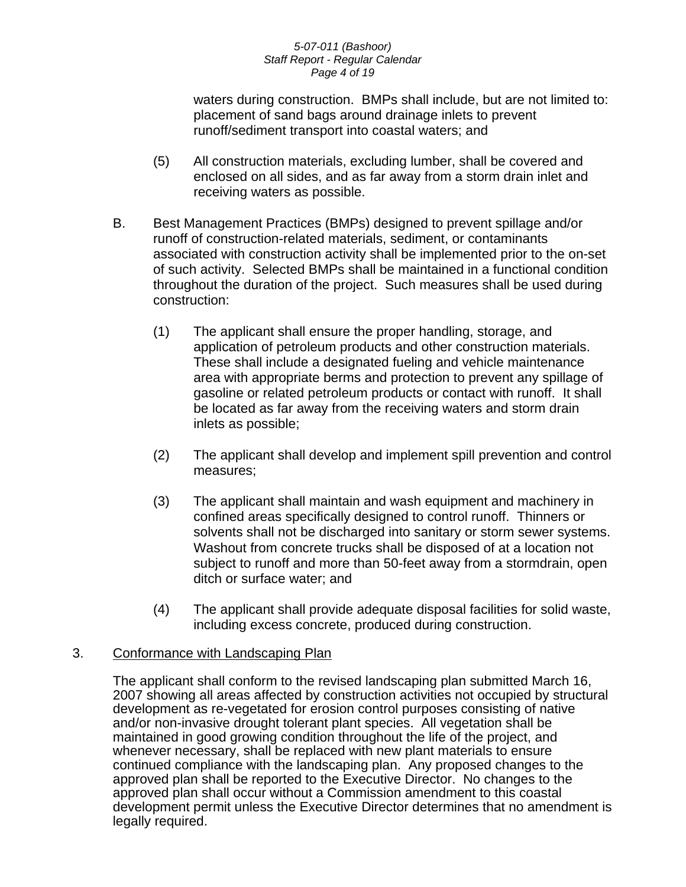#### *5-07-011 (Bashoor) Staff Report - Regular Calendar Page 4 of 19*

waters during construction. BMPs shall include, but are not limited to: placement of sand bags around drainage inlets to prevent runoff/sediment transport into coastal waters; and

- (5) All construction materials, excluding lumber, shall be covered and enclosed on all sides, and as far away from a storm drain inlet and receiving waters as possible.
- B. Best Management Practices (BMPs) designed to prevent spillage and/or runoff of construction-related materials, sediment, or contaminants associated with construction activity shall be implemented prior to the on-set of such activity. Selected BMPs shall be maintained in a functional condition throughout the duration of the project. Such measures shall be used during construction:
	- (1) The applicant shall ensure the proper handling, storage, and application of petroleum products and other construction materials. These shall include a designated fueling and vehicle maintenance area with appropriate berms and protection to prevent any spillage of gasoline or related petroleum products or contact with runoff. It shall be located as far away from the receiving waters and storm drain inlets as possible;
	- (2) The applicant shall develop and implement spill prevention and control measures;
	- (3) The applicant shall maintain and wash equipment and machinery in confined areas specifically designed to control runoff. Thinners or solvents shall not be discharged into sanitary or storm sewer systems. Washout from concrete trucks shall be disposed of at a location not subject to runoff and more than 50-feet away from a stormdrain, open ditch or surface water; and
	- (4) The applicant shall provide adequate disposal facilities for solid waste, including excess concrete, produced during construction.

## 3. Conformance with Landscaping Plan

The applicant shall conform to the revised landscaping plan submitted March 16, 2007 showing all areas affected by construction activities not occupied by structural development as re-vegetated for erosion control purposes consisting of native and/or non-invasive drought tolerant plant species. All vegetation shall be maintained in good growing condition throughout the life of the project, and whenever necessary, shall be replaced with new plant materials to ensure continued compliance with the landscaping plan. Any proposed changes to the approved plan shall be reported to the Executive Director. No changes to the approved plan shall occur without a Commission amendment to this coastal development permit unless the Executive Director determines that no amendment is legally required.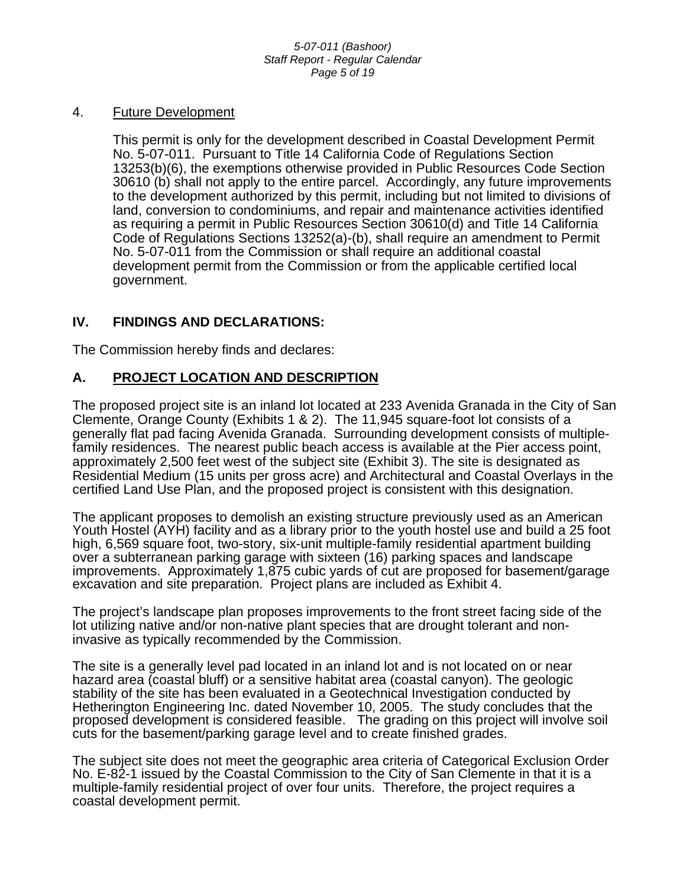## 4. Future Development

This permit is only for the development described in Coastal Development Permit No. 5-07-011. Pursuant to Title 14 California Code of Regulations Section 13253(b)(6), the exemptions otherwise provided in Public Resources Code Section 30610 (b) shall not apply to the entire parcel. Accordingly, any future improvements to the development authorized by this permit, including but not limited to divisions of land, conversion to condominiums, and repair and maintenance activities identified as requiring a permit in Public Resources Section 30610(d) and Title 14 California Code of Regulations Sections 13252(a)-(b), shall require an amendment to Permit No. 5-07-011 from the Commission or shall require an additional coastal development permit from the Commission or from the applicable certified local government.

## **IV. FINDINGS AND DECLARATIONS:**

The Commission hereby finds and declares:

## **A. PROJECT LOCATION AND DESCRIPTION**

The proposed project site is an inland lot located at 233 Avenida Granada in the City of San Clemente, Orange County (Exhibits 1 & 2). The 11,945 square-foot lot consists of a generally flat pad facing Avenida Granada. Surrounding development consists of multiplefamily residences. The nearest public beach access is available at the Pier access point, approximately 2,500 feet west of the subject site (Exhibit 3). The site is designated as Residential Medium (15 units per gross acre) and Architectural and Coastal Overlays in the certified Land Use Plan, and the proposed project is consistent with this designation.

The applicant proposes to demolish an existing structure previously used as an American Youth Hostel (AYH) facility and as a library prior to the youth hostel use and build a 25 foot high, 6,569 square foot, two-story, six-unit multiple-family residential apartment building over a subterranean parking garage with sixteen (16) parking spaces and landscape improvements. Approximately 1,875 cubic yards of cut are proposed for basement/garage excavation and site preparation. Project plans are included as Exhibit 4.

The project's landscape plan proposes improvements to the front street facing side of the lot utilizing native and/or non-native plant species that are drought tolerant and noninvasive as typically recommended by the Commission.

The site is a generally level pad located in an inland lot and is not located on or near hazard area (coastal bluff) or a sensitive habitat area (coastal canyon). The geologic stability of the site has been evaluated in a Geotechnical Investigation conducted by Hetherington Engineering Inc. dated November 10, 2005. The study concludes that the proposed development is considered feasible. The grading on this project will involve soil cuts for the basement/parking garage level and to create finished grades.

The subject site does not meet the geographic area criteria of Categorical Exclusion Order No. E-82-1 issued by the Coastal Commission to the City of San Clemente in that it is a multiple-family residential project of over four units. Therefore, the project requires a coastal development permit.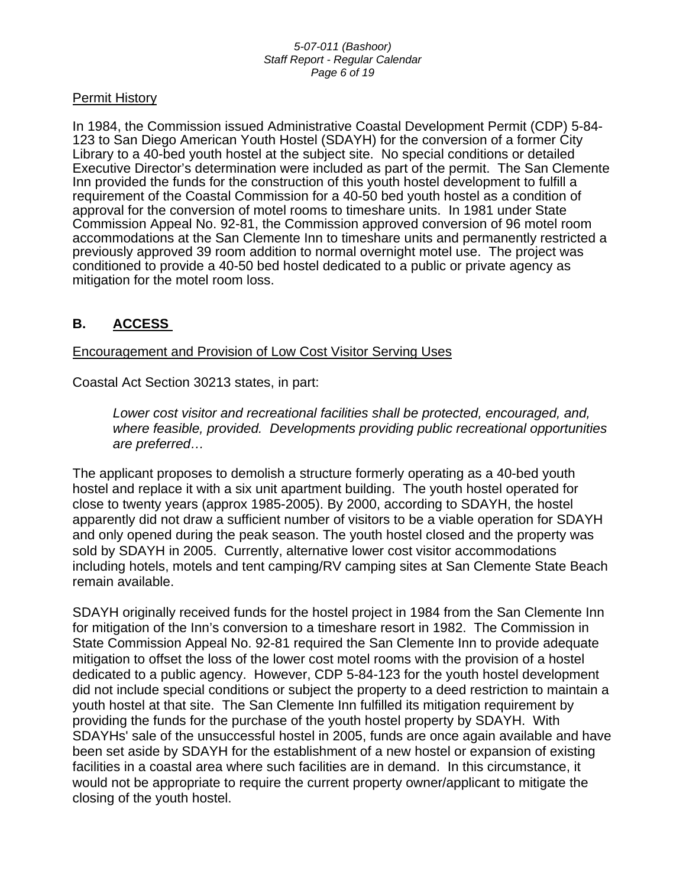#### *5-07-011 (Bashoor) Staff Report - Regular Calendar Page 6 of 19*

## Permit History

In 1984, the Commission issued Administrative Coastal Development Permit (CDP) 5-84- 123 to San Diego American Youth Hostel (SDAYH) for the conversion of a former City Library to a 40-bed youth hostel at the subject site. No special conditions or detailed Executive Director's determination were included as part of the permit. The San Clemente Inn provided the funds for the construction of this youth hostel development to fulfill a requirement of the Coastal Commission for a 40-50 bed youth hostel as a condition of approval for the conversion of motel rooms to timeshare units. In 1981 under State Commission Appeal No. 92-81, the Commission approved conversion of 96 motel room accommodations at the San Clemente Inn to timeshare units and permanently restricted a previously approved 39 room addition to normal overnight motel use. The project was conditioned to provide a 40-50 bed hostel dedicated to a public or private agency as mitigation for the motel room loss.

## **B. ACCESS**

Encouragement and Provision of Low Cost Visitor Serving Uses

Coastal Act Section 30213 states, in part:

*Lower cost visitor and recreational facilities shall be protected, encouraged, and, where feasible, provided. Developments providing public recreational opportunities are preferred…* 

The applicant proposes to demolish a structure formerly operating as a 40-bed youth hostel and replace it with a six unit apartment building. The youth hostel operated for close to twenty years (approx 1985-2005). By 2000, according to SDAYH, the hostel apparently did not draw a sufficient number of visitors to be a viable operation for SDAYH and only opened during the peak season. The youth hostel closed and the property was sold by SDAYH in 2005. Currently, alternative lower cost visitor accommodations including hotels, motels and tent camping/RV camping sites at San Clemente State Beach remain available.

SDAYH originally received funds for the hostel project in 1984 from the San Clemente Inn for mitigation of the Inn's conversion to a timeshare resort in 1982. The Commission in State Commission Appeal No. 92-81 required the San Clemente Inn to provide adequate mitigation to offset the loss of the lower cost motel rooms with the provision of a hostel dedicated to a public agency. However, CDP 5-84-123 for the youth hostel development did not include special conditions or subject the property to a deed restriction to maintain a youth hostel at that site. The San Clemente Inn fulfilled its mitigation requirement by providing the funds for the purchase of the youth hostel property by SDAYH. With SDAYHs' sale of the unsuccessful hostel in 2005, funds are once again available and have been set aside by SDAYH for the establishment of a new hostel or expansion of existing facilities in a coastal area where such facilities are in demand. In this circumstance, it would not be appropriate to require the current property owner/applicant to mitigate the closing of the youth hostel.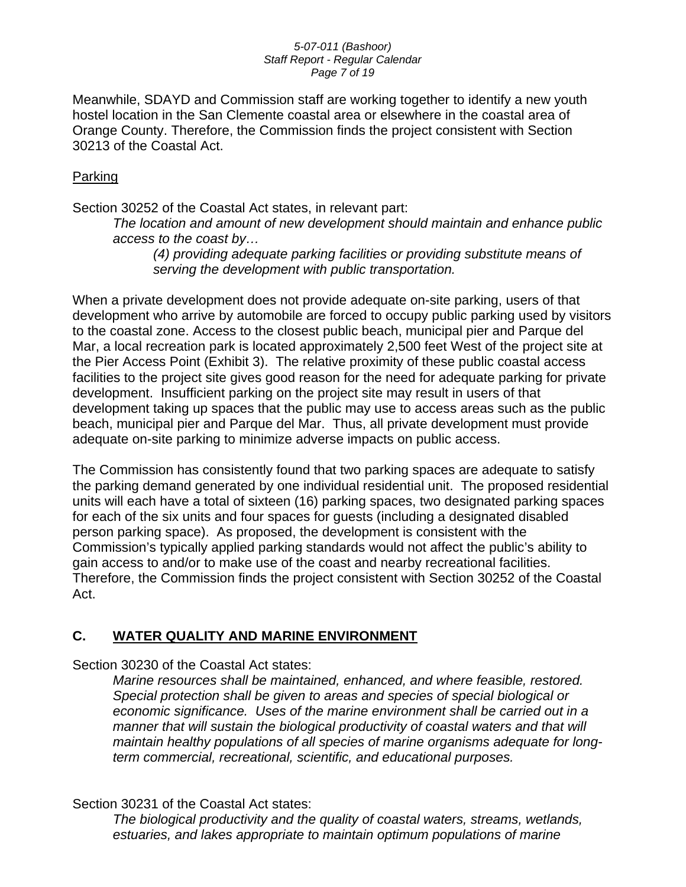#### *5-07-011 (Bashoor) Staff Report - Regular Calendar Page 7 of 19*

Meanwhile, SDAYD and Commission staff are working together to identify a new youth hostel location in the San Clemente coastal area or elsewhere in the coastal area of Orange County. Therefore, the Commission finds the project consistent with Section 30213 of the Coastal Act.

## Parking

Section 30252 of the Coastal Act states, in relevant part:

*The location and amount of new development should maintain and enhance public access to the coast by…* 

*(4) providing adequate parking facilities or providing substitute means of serving the development with public transportation.*

When a private development does not provide adequate on-site parking, users of that development who arrive by automobile are forced to occupy public parking used by visitors to the coastal zone. Access to the closest public beach, municipal pier and Parque del Mar, a local recreation park is located approximately 2,500 feet West of the project site at the Pier Access Point (Exhibit 3). The relative proximity of these public coastal access facilities to the project site gives good reason for the need for adequate parking for private development. Insufficient parking on the project site may result in users of that development taking up spaces that the public may use to access areas such as the public beach, municipal pier and Parque del Mar. Thus, all private development must provide adequate on-site parking to minimize adverse impacts on public access.

The Commission has consistently found that two parking spaces are adequate to satisfy the parking demand generated by one individual residential unit. The proposed residential units will each have a total of sixteen (16) parking spaces, two designated parking spaces for each of the six units and four spaces for guests (including a designated disabled person parking space). As proposed, the development is consistent with the Commission's typically applied parking standards would not affect the public's ability to gain access to and/or to make use of the coast and nearby recreational facilities. Therefore, the Commission finds the project consistent with Section 30252 of the Coastal Act.

## **C. WATER QUALITY AND MARINE ENVIRONMENT**

Section 30230 of the Coastal Act states:

*Marine resources shall be maintained, enhanced, and where feasible, restored. Special protection shall be given to areas and species of special biological or economic significance. Uses of the marine environment shall be carried out in a manner that will sustain the biological productivity of coastal waters and that will maintain healthy populations of all species of marine organisms adequate for longterm commercial, recreational, scientific, and educational purposes.* 

## Section 30231 of the Coastal Act states:

*The biological productivity and the quality of coastal waters, streams, wetlands, estuaries, and lakes appropriate to maintain optimum populations of marine*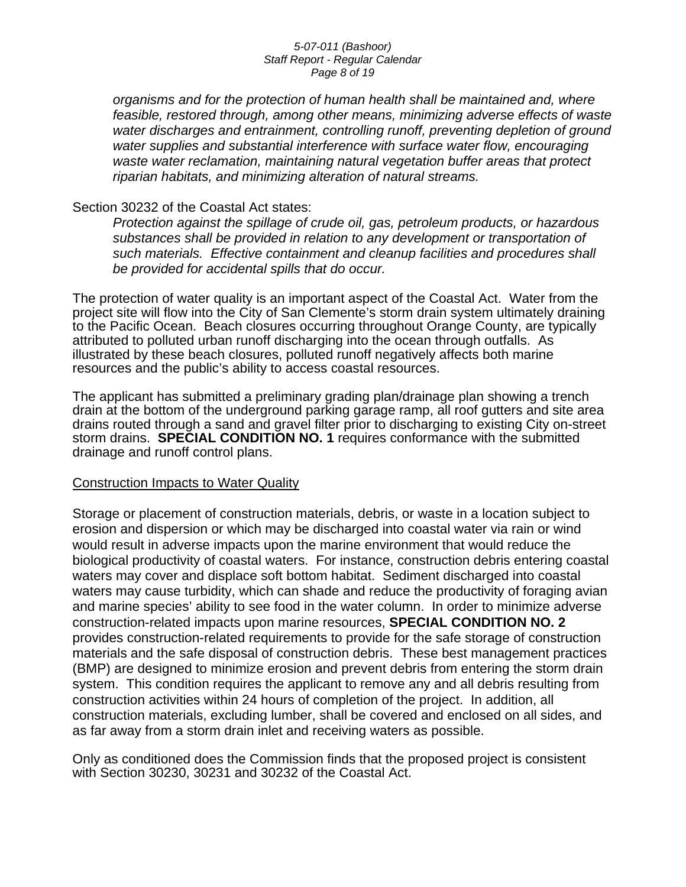#### *5-07-011 (Bashoor) Staff Report - Regular Calendar Page 8 of 19*

*organisms and for the protection of human health shall be maintained and, where*  feasible, restored through, among other means, minimizing adverse effects of waste water discharges and entrainment, controlling runoff, preventing depletion of ground *water supplies and substantial interference with surface water flow, encouraging waste water reclamation, maintaining natural vegetation buffer areas that protect riparian habitats, and minimizing alteration of natural streams.* 

## Section 30232 of the Coastal Act states:

*Protection against the spillage of crude oil, gas, petroleum products, or hazardous substances shall be provided in relation to any development or transportation of such materials. Effective containment and cleanup facilities and procedures shall be provided for accidental spills that do occur.*

The protection of water quality is an important aspect of the Coastal Act. Water from the project site will flow into the City of San Clemente's storm drain system ultimately draining to the Pacific Ocean. Beach closures occurring throughout Orange County, are typically attributed to polluted urban runoff discharging into the ocean through outfalls. As illustrated by these beach closures, polluted runoff negatively affects both marine resources and the public's ability to access coastal resources.

The applicant has submitted a preliminary grading plan/drainage plan showing a trench drain at the bottom of the underground parking garage ramp, all roof gutters and site area drains routed through a sand and gravel filter prior to discharging to existing City on-street storm drains. **SPECIAL CONDITION NO. 1** requires conformance with the submitted drainage and runoff control plans.

### Construction Impacts to Water Quality

Storage or placement of construction materials, debris, or waste in a location subject to erosion and dispersion or which may be discharged into coastal water via rain or wind would result in adverse impacts upon the marine environment that would reduce the biological productivity of coastal waters. For instance, construction debris entering coastal waters may cover and displace soft bottom habitat. Sediment discharged into coastal waters may cause turbidity, which can shade and reduce the productivity of foraging avian and marine species' ability to see food in the water column. In order to minimize adverse construction-related impacts upon marine resources, **SPECIAL CONDITION NO. 2** provides construction-related requirements to provide for the safe storage of construction materials and the safe disposal of construction debris. These best management practices (BMP) are designed to minimize erosion and prevent debris from entering the storm drain system. This condition requires the applicant to remove any and all debris resulting from construction activities within 24 hours of completion of the project. In addition, all construction materials, excluding lumber, shall be covered and enclosed on all sides, and as far away from a storm drain inlet and receiving waters as possible.

Only as conditioned does the Commission finds that the proposed project is consistent with Section 30230, 30231 and 30232 of the Coastal Act.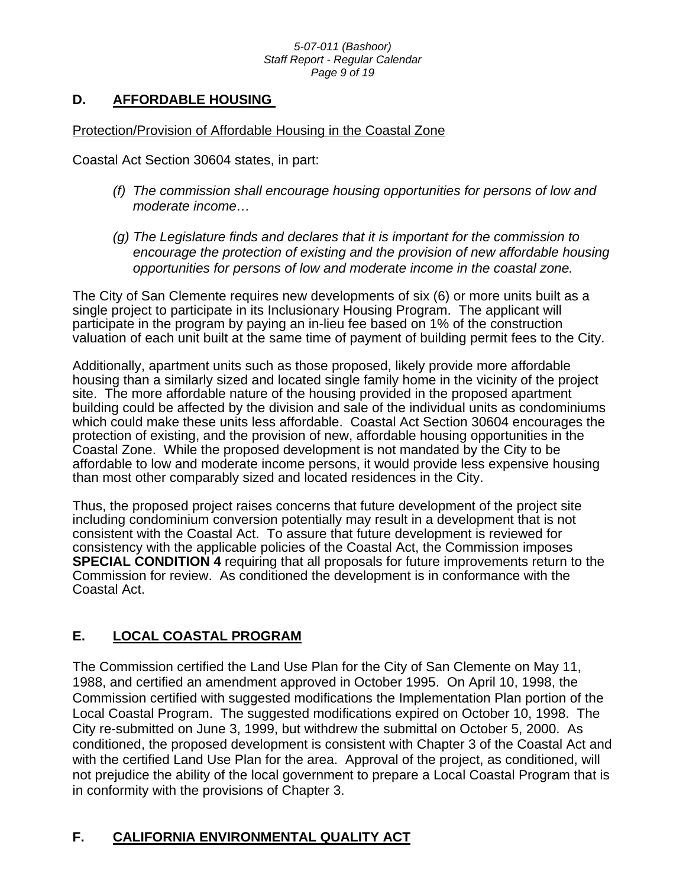#### *5-07-011 (Bashoor) Staff Report - Regular Calendar Page 9 of 19*

## **D. AFFORDABLE HOUSING**

## Protection/Provision of Affordable Housing in the Coastal Zone

Coastal Act Section 30604 states, in part:

- *(f) The commission shall encourage housing opportunities for persons of low and moderate income…*
- *(g) The Legislature finds and declares that it is important for the commission to encourage the protection of existing and the provision of new affordable housing opportunities for persons of low and moderate income in the coastal zone.*

The City of San Clemente requires new developments of six (6) or more units built as a single project to participate in its Inclusionary Housing Program. The applicant will participate in the program by paying an in-lieu fee based on 1% of the construction valuation of each unit built at the same time of payment of building permit fees to the City.

Additionally, apartment units such as those proposed, likely provide more affordable housing than a similarly sized and located single family home in the vicinity of the project site. The more affordable nature of the housing provided in the proposed apartment building could be affected by the division and sale of the individual units as condominiums which could make these units less affordable. Coastal Act Section 30604 encourages the protection of existing, and the provision of new, affordable housing opportunities in the Coastal Zone. While the proposed development is not mandated by the City to be affordable to low and moderate income persons, it would provide less expensive housing than most other comparably sized and located residences in the City.

Thus, the proposed project raises concerns that future development of the project site including condominium conversion potentially may result in a development that is not consistent with the Coastal Act. To assure that future development is reviewed for consistency with the applicable policies of the Coastal Act, the Commission imposes **SPECIAL CONDITION 4** requiring that all proposals for future improvements return to the Commission for review. As conditioned the development is in conformance with the Coastal Act.

## **E. LOCAL COASTAL PROGRAM**

The Commission certified the Land Use Plan for the City of San Clemente on May 11, 1988, and certified an amendment approved in October 1995. On April 10, 1998, the Commission certified with suggested modifications the Implementation Plan portion of the Local Coastal Program. The suggested modifications expired on October 10, 1998. The City re-submitted on June 3, 1999, but withdrew the submittal on October 5, 2000. As conditioned, the proposed development is consistent with Chapter 3 of the Coastal Act and with the certified Land Use Plan for the area. Approval of the project, as conditioned, will not prejudice the ability of the local government to prepare a Local Coastal Program that is in conformity with the provisions of Chapter 3.

## **F. CALIFORNIA ENVIRONMENTAL QUALITY ACT**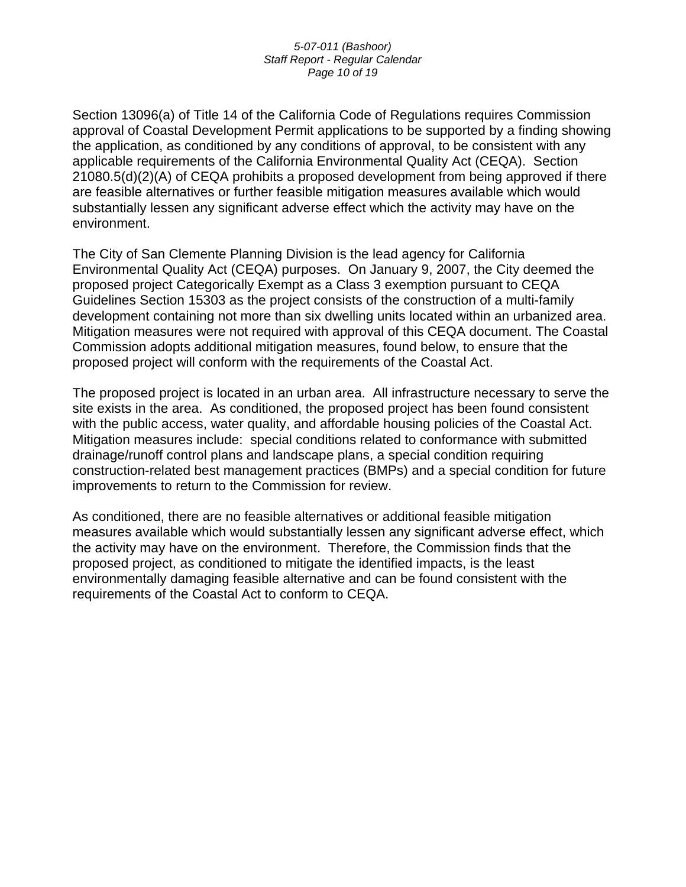#### *5-07-011 (Bashoor) Staff Report - Regular Calendar Page 10 of 19*

Section 13096(a) of Title 14 of the California Code of Regulations requires Commission approval of Coastal Development Permit applications to be supported by a finding showing the application, as conditioned by any conditions of approval, to be consistent with any applicable requirements of the California Environmental Quality Act (CEQA). Section 21080.5(d)(2)(A) of CEQA prohibits a proposed development from being approved if there are feasible alternatives or further feasible mitigation measures available which would substantially lessen any significant adverse effect which the activity may have on the environment.

The City of San Clemente Planning Division is the lead agency for California Environmental Quality Act (CEQA) purposes. On January 9, 2007, the City deemed the proposed project Categorically Exempt as a Class 3 exemption pursuant to CEQA Guidelines Section 15303 as the project consists of the construction of a multi-family development containing not more than six dwelling units located within an urbanized area. Mitigation measures were not required with approval of this CEQA document. The Coastal Commission adopts additional mitigation measures, found below, to ensure that the proposed project will conform with the requirements of the Coastal Act.

The proposed project is located in an urban area. All infrastructure necessary to serve the site exists in the area. As conditioned, the proposed project has been found consistent with the public access, water quality, and affordable housing policies of the Coastal Act. Mitigation measures include: special conditions related to conformance with submitted drainage/runoff control plans and landscape plans, a special condition requiring construction-related best management practices (BMPs) and a special condition for future improvements to return to the Commission for review.

As conditioned, there are no feasible alternatives or additional feasible mitigation measures available which would substantially lessen any significant adverse effect, which the activity may have on the environment. Therefore, the Commission finds that the proposed project, as conditioned to mitigate the identified impacts, is the least environmentally damaging feasible alternative and can be found consistent with the requirements of the Coastal Act to conform to CEQA.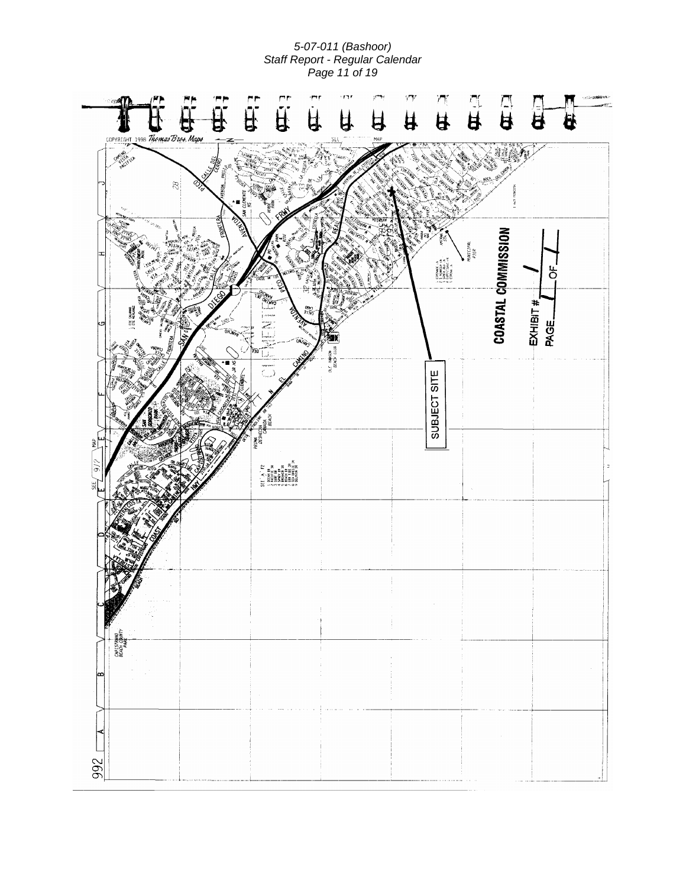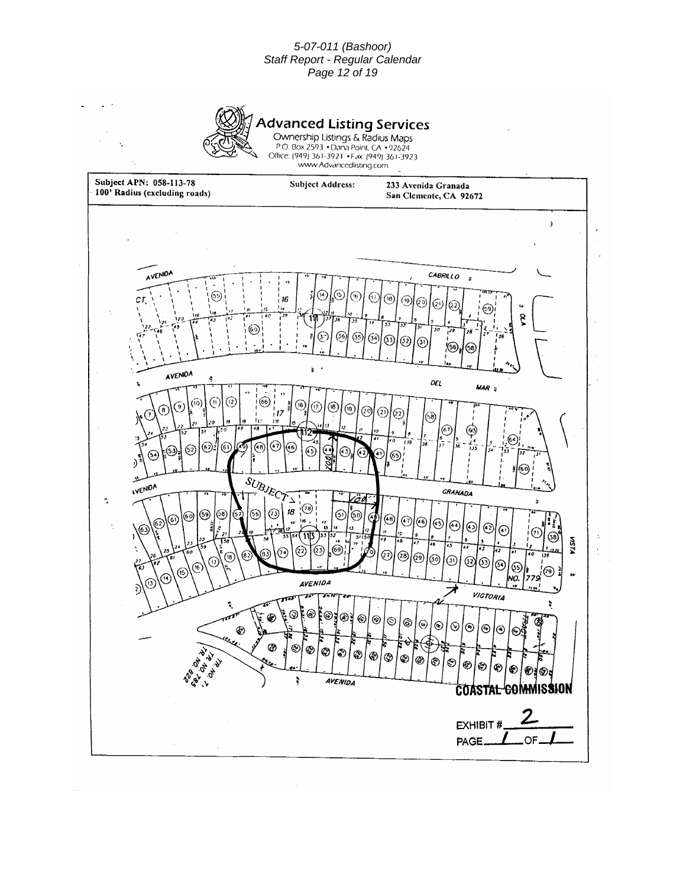#### *5-07-011 (Bashoor) Staff Report - Regular Calendar Page 12 of 19*



## **Advanced Listing Services**

Ownership Listings & Radius Maps P.O. Box 2593 • Dana Point, CA • 92624<br>Office: (949) 361-3921 • Fax: (949) 361-3923 www.Advancedlisting.com

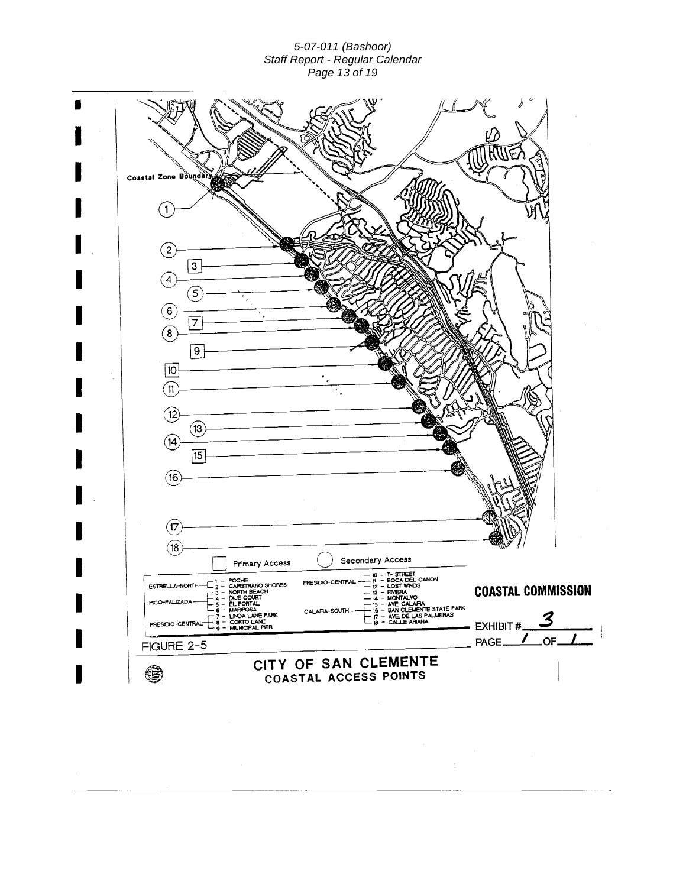*5-07-011 (Bashoor) Staff Report - Regular Calendar Page 13 of 19* 

| Coastal Zone Boundary                                                                                                                            |                                               |                                                                                                               |                            |
|--------------------------------------------------------------------------------------------------------------------------------------------------|-----------------------------------------------|---------------------------------------------------------------------------------------------------------------|----------------------------|
|                                                                                                                                                  |                                               |                                                                                                               |                            |
|                                                                                                                                                  |                                               |                                                                                                               |                            |
| $\left[ 2 \right]$                                                                                                                               |                                               |                                                                                                               |                            |
| 3<br>4                                                                                                                                           |                                               |                                                                                                               |                            |
| 5<br>$6\overline{6}$                                                                                                                             |                                               |                                                                                                               |                            |
| $\overline{7}$<br>$\mathbf{8}$                                                                                                                   |                                               |                                                                                                               |                            |
| $\overline{9}$<br>10                                                                                                                             |                                               |                                                                                                               |                            |
| $\mathbf{11}$                                                                                                                                    |                                               |                                                                                                               |                            |
| $\overline{12}$<br>(13                                                                                                                           |                                               |                                                                                                               |                            |
| (14)<br>15                                                                                                                                       |                                               |                                                                                                               |                            |
| $^{(\mathsf{16})}$                                                                                                                               |                                               |                                                                                                               |                            |
|                                                                                                                                                  |                                               |                                                                                                               |                            |
| (17<br>[18]                                                                                                                                      |                                               |                                                                                                               |                            |
|                                                                                                                                                  | Primary Access                                | Secondary Access<br>- 10 - T-STREET                                                                           |                            |
| ESTRELLA-NORTH $ \begin{bmatrix} 1 & - & PCOCHE \\ 2 & - & CAPSTRANO SHORES \\ - & 3 & - & NORMHEEACH \end{bmatrix}$<br>DUE CL<br>PICO-PALIZADA- | PRESIDIO-CENTRAL<br>URT                       | $\frac{1}{12}$ = BOCA DEL CANON<br>$\Box$ $\overline{u}$ – FIVIERA<br>$\Box$ $\overline{u}$ – MONTALVO        | <b>COASTAL COMMISSION</b>  |
| - 5 - EL PORTAL<br>- 6 - MARIPOSA<br>$-7 - UNCA LANE PARK$<br>S = CORTO LANE<br>PRESIDIO-CENTRAL-                                                | CALAFIA-SOUTH -                               | - 15 - AVE CALARA<br>- 16 - SAN CLEMENTE STATE PARK<br>$-7 -$ AVE DE LAS PALMERAS<br><b>18 - CALLE ARIANA</b> | 3<br><b>EXHIBIT#</b>       |
| FIGURE 2-5                                                                                                                                       |                                               |                                                                                                               | $OC-$<br>PAGE_             |
|                                                                                                                                                  | CITY OF SAN CLEMENTE<br>COASTAL ACCESS POINTS |                                                                                                               | $\sim 100$                 |
|                                                                                                                                                  |                                               | $\sim 100$ km s $^{-1}$                                                                                       |                            |
|                                                                                                                                                  |                                               |                                                                                                               |                            |
|                                                                                                                                                  |                                               | $\sim$                                                                                                        | $\sim 10^{11}$ m<br>$\sim$ |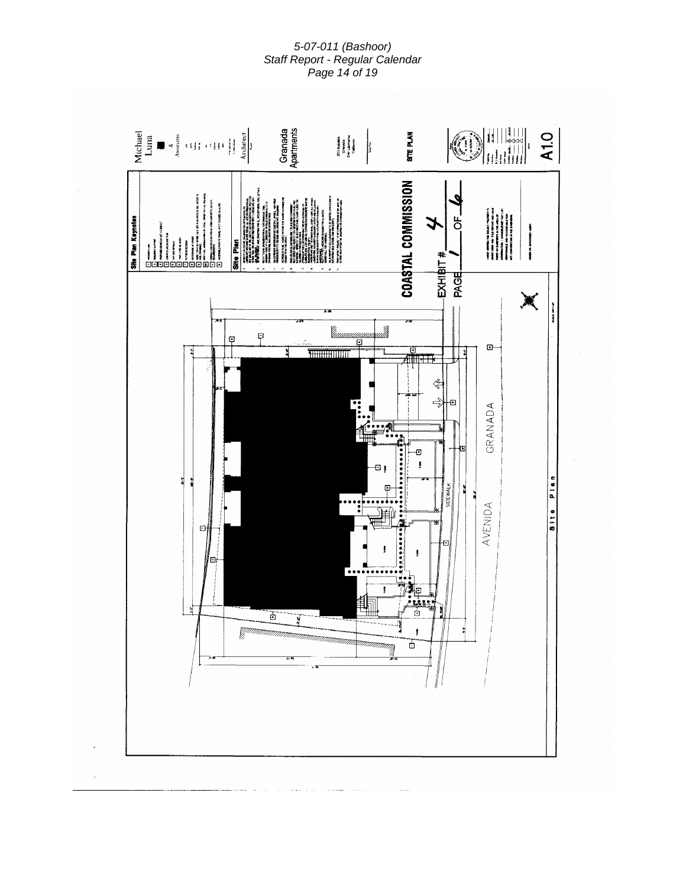*5-07-011 (Bashoor) Staff Report - Regular Calendar Page 14 of 19* 

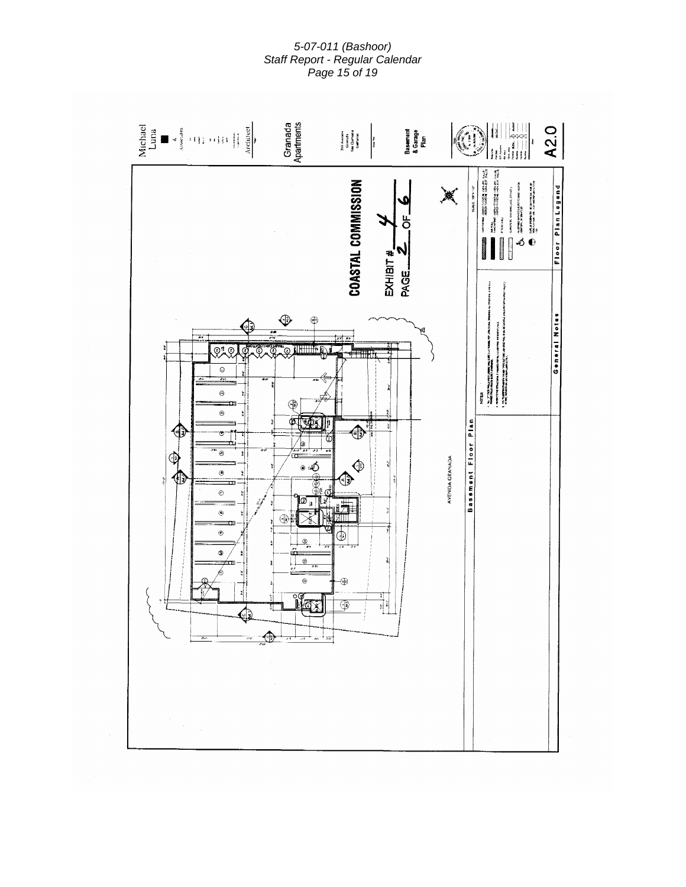*5-07-011 (Bashoor) Staff Report - Regular Calendar Page 15 of 19* 

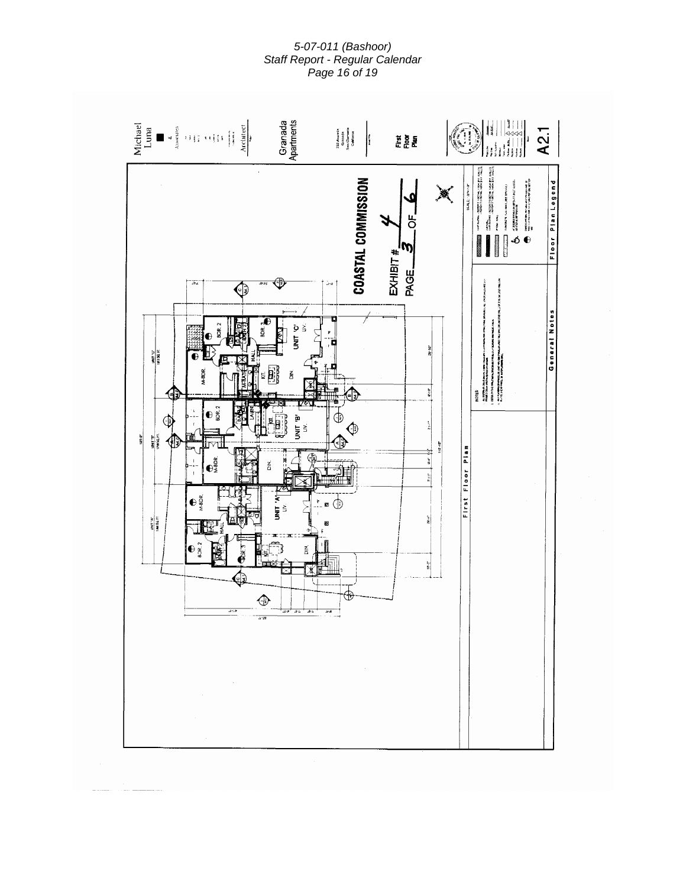*5-07-011 (Bashoor) Staff Report - Regular Calendar Page 16 of 19* 

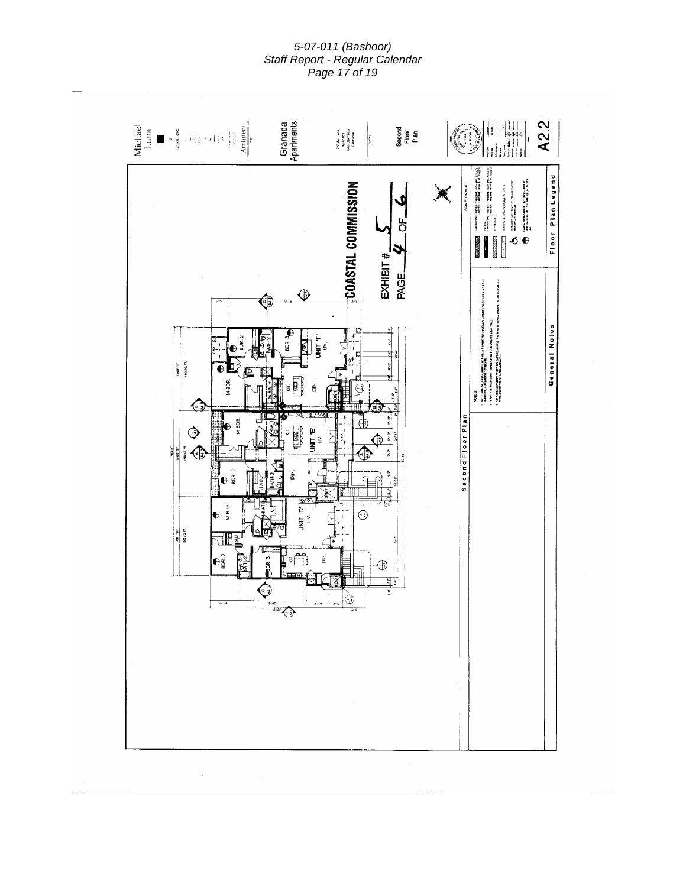*5-07-011 (Bashoor) Staff Report - Regular Calendar Page 17 of 19* 

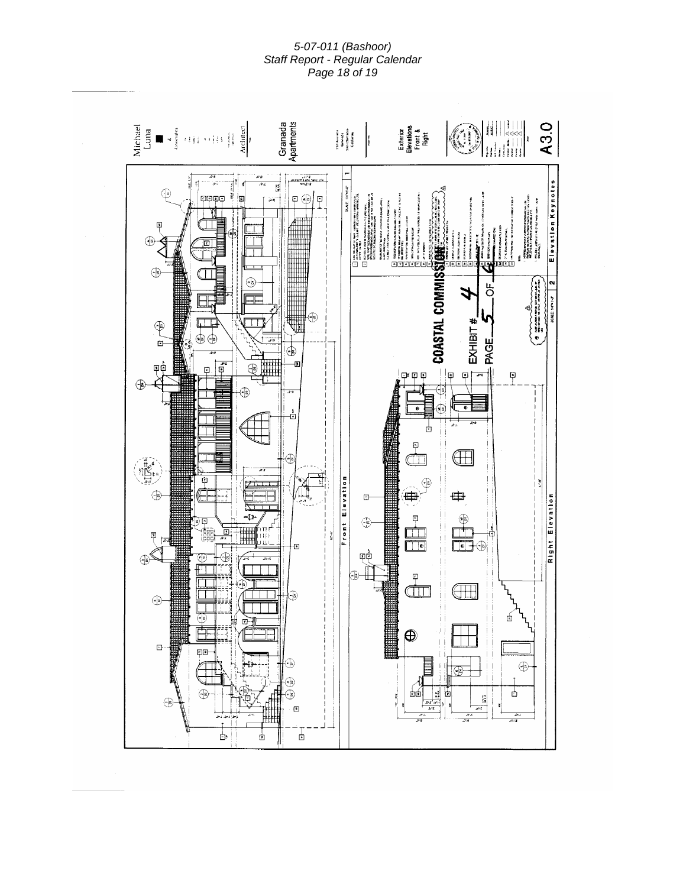*5-07-011 (Bashoor) Staff Report - Regular Calendar Page 18 of 19*